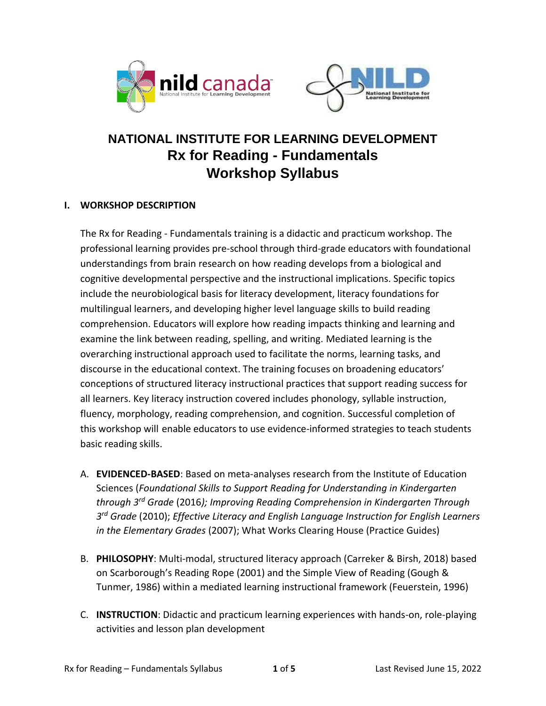



# **NATIONAL INSTITUTE FOR LEARNING DEVELOPMENT Rx for Reading - Fundamentals Workshop Syllabus**

## **I. WORKSHOP DESCRIPTION**

The Rx for Reading - Fundamentals training is a didactic and practicum workshop. The professional learning provides pre-school through third-grade educators with foundational understandings from brain research on how reading develops from a biological and cognitive developmental perspective and the instructional implications. Specific topics include the neurobiological basis for literacy development, literacy foundations for multilingual learners, and developing higher level language skills to build reading comprehension. Educators will explore how reading impacts thinking and learning and examine the link between reading, spelling, and writing. Mediated learning is the overarching instructional approach used to facilitate the norms, learning tasks, and discourse in the educational context. The training focuses on broadening educators' conceptions of structured literacy instructional practices that support reading success for all learners. Key literacy instruction covered includes phonology, syllable instruction, fluency, morphology, reading comprehension, and cognition. Successful completion of this workshop will enable educators to use evidence-informed strategies to teach students basic reading skills.

- A. **EVIDENCED-BASED**: Based on meta-analyses research from the Institute of Education Sciences (*Foundational Skills to Support Reading for Understanding in Kindergarten through 3rd Grade* (2016*); Improving Reading Comprehension in Kindergarten Through 3 rd Grade* (2010); *Effective Literacy and English Language Instruction for English Learners in the Elementary Grades* (2007); What Works Clearing House (Practice Guides)
- B. **PHILOSOPHY**: Multi-modal, structured literacy approach (Carreker & Birsh, 2018) based on Scarborough's Reading Rope (2001) and the Simple View of Reading (Gough & Tunmer, 1986) within a mediated learning instructional framework (Feuerstein, 1996)
- C. **INSTRUCTION**: Didactic and practicum learning experiences with hands-on, role-playing activities and lesson plan development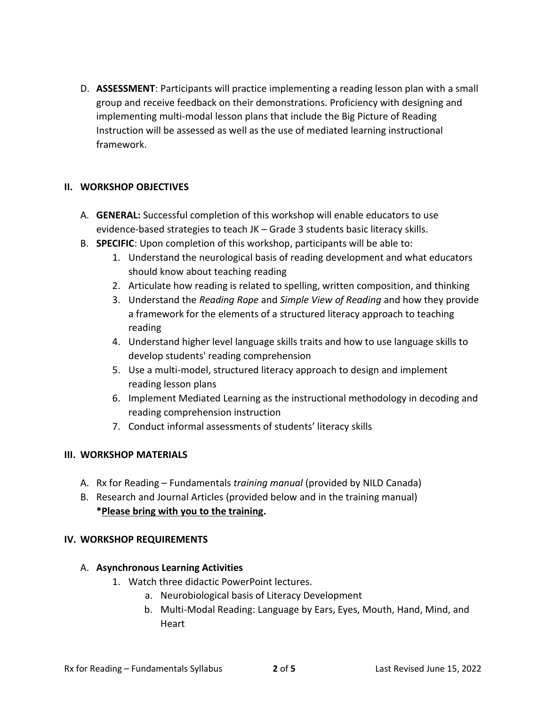D. **ASSESSMENT**: Participants will practice implementing a reading lesson plan with a small group and receive feedback on their demonstrations. Proficiency with designing and implementing multi-modal lesson plans that include the Big Picture of Reading Instruction will be assessed as well as the use of mediated learning instructional framework.

## **II. WORKSHOP OBJECTIVES**

- A. **GENERAL:** Successful completion of this workshop will enable educators to use evidence-based strategies to teach JK – Grade 3 students basic literacy skills.
- B. **SPECIFIC**: Upon completion of this workshop, participants will be able to:
	- 1. Understand the neurological basis of reading development and what educators should know about teaching reading
	- 2. Articulate how reading is related to spelling, written composition, and thinking
	- 3. Understand the *Reading Rope* and *Simple View of Reading* and how they provide a framework for the elements of a structured literacy approach to teaching reading
	- 4. Understand higher level language skills traits and how to use language skills to develop students' reading comprehension
	- 5. Use a multi-model, structured literacy approach to design and implement reading lesson plans
	- 6. Implement Mediated Learning as the instructional methodology in decoding and reading comprehension instruction
	- 7. Conduct informal assessments of students' literacy skills

## **III. WORKSHOP MATERIALS**

- A. Rx for Reading Fundamentals *training manual* (provided by NILD Canada)
- B. Research and Journal Articles (provided below and in the training manual) **\*Please bring with you to the training.**

## **IV. WORKSHOP REQUIREMENTS**

## A. **Asynchronous Learning Activities**

- 1. Watch three didactic PowerPoint lectures.
	- a. Neurobiological basis of Literacy Development
	- b. Multi-Modal Reading: Language by Ears, Eyes, Mouth, Hand, Mind, and Heart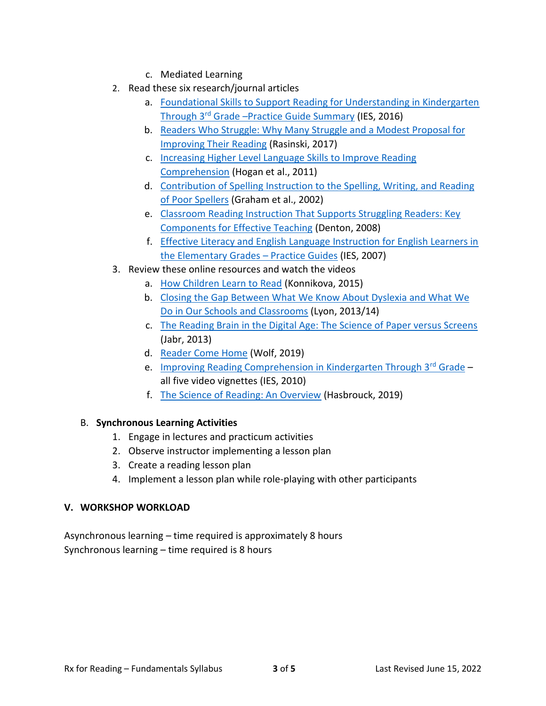- c. Mediated Learning
- 2. Read these six research/journal articles
	- a. [Foundational Skills to Support Reading for Understanding in Kindergarten](https://nildcanada.org/wp-content/uploads/2021/10/Foundational-Skills-to-Support-Reading-for-Understanding-in-Kindergarten-through-3rd-Grade-Practice-Guide-Summary.pdf)  Through 3rd Grade –[Practice Guide Summary](https://nildcanada.org/wp-content/uploads/2021/10/Foundational-Skills-to-Support-Reading-for-Understanding-in-Kindergarten-through-3rd-Grade-Practice-Guide-Summary.pdf) (IES, 2016)
	- b. [Readers Who Struggle: Why Many Struggle and](https://nildcanada.org/wp-content/uploads/2021/10/Readers-Who-Struggle-Why-Many-Struggle-and-a-Modest-Proposal-for-Improving-Their-Reading.pdf) a Modest Proposal for [Improving Their Reading](https://nildcanada.org/wp-content/uploads/2021/10/Readers-Who-Struggle-Why-Many-Struggle-and-a-Modest-Proposal-for-Improving-Their-Reading.pdf) (Rasinski, 2017)
	- c. [Increasing Higher Level Language Skills to Improve Reading](https://nildcanada.org/wp-content/uploads/2021/10/Increasing-Higher-Level-Language-Skills-to-Improve-Reading-Comprehension.pdf)  [Comprehension](https://nildcanada.org/wp-content/uploads/2021/10/Increasing-Higher-Level-Language-Skills-to-Improve-Reading-Comprehension.pdf) (Hogan et al., 2011)
	- d. [Contribution of Spelling Instruction to the Spelling, Writing, and Reading](https://nildcanada.org/wp-content/uploads/2021/10/Contribution-of-Spelling-Instruction-to-the-Spelling-Writing-and-Reading-of-Poor-Spellers.pdf)  [of Poor Spellers](https://nildcanada.org/wp-content/uploads/2021/10/Contribution-of-Spelling-Instruction-to-the-Spelling-Writing-and-Reading-of-Poor-Spellers.pdf) (Graham et al., 2002)
	- e. [Classroom Reading Instruction That Supports Struggling Readers: Key](https://nildcanada.org/wp-content/uploads/2021/10/Classroom-Reading-Instruction-That-Supports-Struggling-Readers-Key-Components-for-Effective-Teaching.pdf)  [Components for Effective Teaching](https://nildcanada.org/wp-content/uploads/2021/10/Classroom-Reading-Instruction-That-Supports-Struggling-Readers-Key-Components-for-Effective-Teaching.pdf) (Denton, 2008)
	- f. [Effective Literacy and English Language Instruction for English Learners in](https://nildcanada.org/wp-content/uploads/2021/10/Effective-Literacy-and-English-Language-Instruction-for-English-Learners-in-the-Elementary-Grades-–-Practice-Guides.pdf)  [the Elementary Grades](https://nildcanada.org/wp-content/uploads/2021/10/Effective-Literacy-and-English-Language-Instruction-for-English-Learners-in-the-Elementary-Grades-–-Practice-Guides.pdf) – Practice Guides (IES, 2007)
- 3. Review these online resources and watch the videos
	- a. [How Children Learn to Read](https://www.newyorker.com/science/maria-konnikova/how-children-learn-read) (Konnikova, 2015)
	- b. [Closing the Gap Between What We Know About Dyslexia and What We](https://nildcanada.org/wp-content/uploads/2021/10/Closing-the-Gap-Between-What-We-Know-About-Dyslexia-and-What-We-Do-in-Our-Schools-and-Classrooms.pdf)  [Do in Our Schools and Classrooms](https://nildcanada.org/wp-content/uploads/2021/10/Closing-the-Gap-Between-What-We-Know-About-Dyslexia-and-What-We-Do-in-Our-Schools-and-Classrooms.pdf) (Lyon, 2013/14)
	- c. [The Reading Brain in the Digital Age: The Science of Paper versus Screens](https://nildcanada.org/wp-content/uploads/2021/10/The-Reading-Brain-in-the-Digital-Age-The-Science-of-Paper-versus-Screens.pdf) (Jabr, 2013)
	- d. [Reader Come Home](https://nildcanada.org/wp-content/uploads/2021/10/Reader-Come-Home.pdf) (Wolf, 2019)
	- e. [Improving Reading Comprehension in Kindergarten Through 3](https://ies.ed.gov/ncee/wwc/PracticeGuide/14)rd Grade all five video vignettes (IES, 2010)
	- f. [The Science of Reading: An Overview](https://www.youtube.com/watch?v=YTvHSgoTeZE) (Hasbrouck, 2019)

## B. **Synchronous Learning Activities**

- 1. Engage in lectures and practicum activities
- 2. Observe instructor implementing a lesson plan
- 3. Create a reading lesson plan
- 4. Implement a lesson plan while role-playing with other participants

## **V. WORKSHOP WORKLOAD**

Asynchronous learning – time required is approximately 8 hours Synchronous learning – time required is 8 hours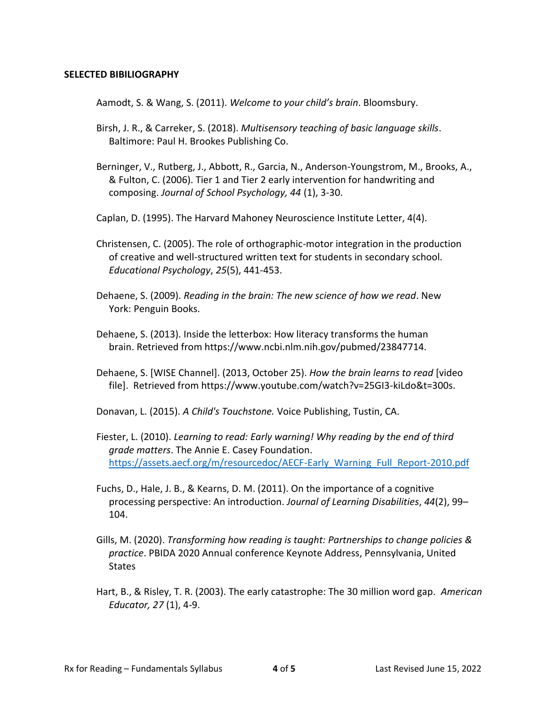### **SELECTED BIBILIOGRAPHY**

Aamodt, S. & Wang, S. (2011). *Welcome to your child's brain*. Bloomsbury.

- Birsh, J. R., & Carreker, S. (2018). *Multisensory teaching of basic language skills*. Baltimore: Paul H. Brookes Publishing Co.
- Berninger, V., Rutberg, J., Abbott, R., Garcia, N., Anderson-Youngstrom, M., Brooks, A., & Fulton, C. (2006). Tier 1 and Tier 2 early intervention for handwriting and composing. *Journal of School Psychology, 44* (1), 3-30.
- Caplan, D. (1995). The Harvard Mahoney Neuroscience Institute Letter, 4(4).
- Christensen, C. (2005). The role of orthographic-motor integration in the production of creative and well-structured written text for students in secondary school*. Educational Psychology*, *25*(5), 441-453.
- Dehaene, S. (2009). *Reading in the brain: The new science of how we read*. New York: Penguin Books.
- Dehaene, S. (2013). Inside the letterbox: How literacy transforms the human brain. Retrieved from https://www.ncbi.nlm.nih.gov/pubmed/23847714.
- Dehaene, S. [WISE Channel]. (2013, October 25). *How the brain learns to read* [video file]. Retrieved from https://www.youtube.com/watch?v=25GI3-kiLdo&t=300s.
- Donavan, L. (2015). *A Child's Touchstone.* Voice Publishing, Tustin, CA.
- Fiester, L. (2010). *Learning to read: Early warning! Why reading by the end of third grade matters*. The Annie E. Casey Foundation. [https://assets.aecf.org/m/resourcedoc/AECF-Early\\_Warning\\_Full\\_Report-2010.pdf](about:blank)
- Fuchs, D., Hale, J. B., & Kearns, D. M. (2011). On the importance of a cognitive processing perspective: An introduction. *Journal of Learning Disabilities*, *44*(2), 99– 104.
- Gills, M. (2020). *Transforming how reading is taught: Partnerships to change policies & practice*. PBIDA 2020 Annual conference Keynote Address, Pennsylvania, United **States**
- Hart, B., & Risley, T. R. (2003). The early catastrophe: The 30 million word gap. *American Educator, 27* (1), 4-9.